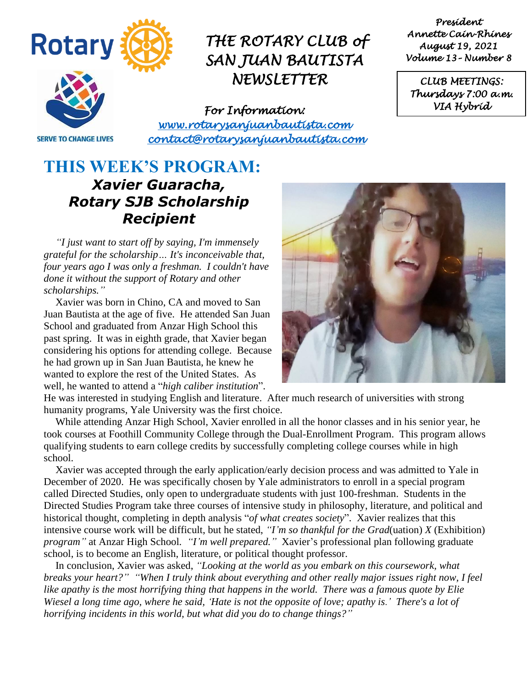

*President Annette Cain-Rhines August 19, 2021 Volume 13– Number 8* 

*CLUB MEETINGS: Thursdays 7:00 a.m. VIA Hybrid* 

**SERVE TO CHANGE LIVES** 

*For Information: [www.rotarysanjuanbautista.com](http://www.rotarysanjuanbautista.com/)  contact@rotarysanjuanbautista.com* 

### **THIS WEEK'S PROGRAM:**  *Xavier Guaracha, Rotary SJB Scholarship Recipient*

*"I just want to start off by saying, I'm immensely grateful for the scholarship… It's inconceivable that, four years ago I was only a freshman. I couldn't have done it without the support of Rotary and other scholarships."*

Xavier was born in Chino, CA and moved to San Juan Bautista at the age of five. He attended San Juan School and graduated from Anzar High School this past spring. It was in eighth grade, that Xavier began considering his options for attending college. Because he had grown up in San Juan Bautista, he knew he wanted to explore the rest of the United States. As well, he wanted to attend a "*high caliber institution*".



He was interested in studying English and literature. After much research of universities with strong humanity programs, Yale University was the first choice.

While attending Anzar High School, Xavier enrolled in all the honor classes and in his senior year, he took courses at Foothill Community College through the Dual-Enrollment Program. This program allows qualifying students to earn college credits by successfully completing college courses while in high school.

Xavier was accepted through the early application/early decision process and was admitted to Yale in December of 2020. He was specifically chosen by Yale administrators to enroll in a special program called Directed Studies, only open to undergraduate students with just 100-freshman. Students in the Directed Studies Program take three courses of intensive study in philosophy, literature, and political and historical thought, completing in depth analysis "*of what creates society*". Xavier realizes that this intensive course work will be difficult, but he stated, *"I'm so thankful for the Grad*(uation) *X* (Exhibition) *program"* at Anzar High School*. "I'm well prepared."* Xavier's professional plan following graduate school, is to become an English, literature, or political thought professor.

In conclusion, Xavier was asked, *"Looking at the world as you embark on this coursework, what breaks your heart?" "When I truly think about everything and other really major issues right now, I feel like apathy is the most horrifying thing that happens in the world. There was a famous quote by Elie Wiesel a long time ago, where he said, 'Hate is not the opposite of love; apathy is*.*' There's a lot of horrifying incidents in this world, but what did you do to change things?"*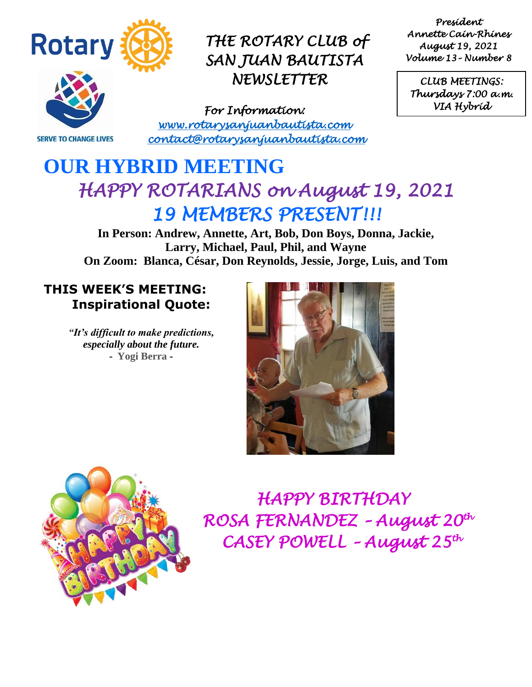

*President Annette Cain-Rhines August 19, 2021 Volume 13– Number 8* 

*CLUB MEETINGS: Thursdays 7:00 a.m. VIA Hybrid* 

**SERVE TO CHANGE LIVES** 

*For Information: [www.rotarysanjuanbautista.com](http://www.rotarysanjuanbautista.com/)  contact@rotarysanjuanbautista.com* 

# **OUR HYBRID MEETING**  *HAPPY ROTARIANS on August 19, 2021 19 MEMBERS PRESENT!!!*

**In Person: Andrew, Annette, Art, Bob, Don Boys, Donna, Jackie, Larry, Michael, Paul, Phil, and Wayne On Zoom: Blanca, César, Don Reynolds, Jessie, Jorge, Luis, and Tom**

### **THIS WEEK'S MEETING: Inspirational Quote:**

*"It's difficult to make predictions, especially about the future.* **- Yogi Berra -**





*HAPPY BIRTHDAY ROSA FERNANDEZ – August 20th CASEY POWELL – August 25th*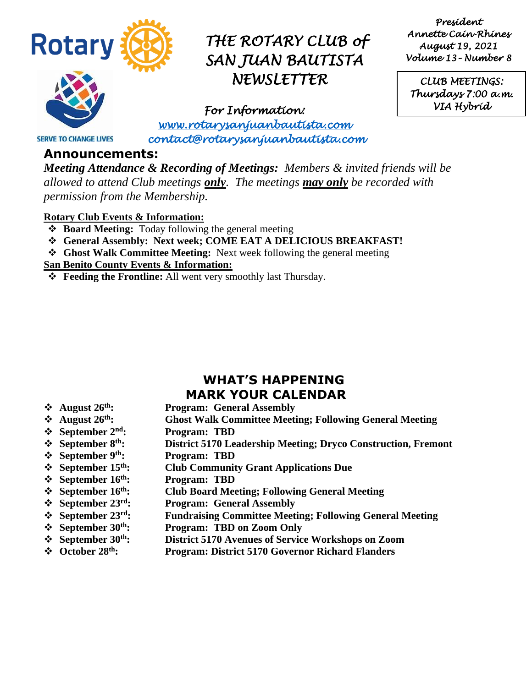

*President Annette Cain-Rhines August 19, 2021 Volume 13– Number 8* 

*CLUB MEETINGS: Thursdays 7:00 a.m. VIA Hybrid* 

*For Information: [www.rotarysanjuanbautista.com](http://www.rotarysanjuanbautista.com/)  contact@rotarysanjuanbautista.com* 

**SERVE TO CHANGE LIVES Announcements:**

*Meeting Attendance & Recording of Meetings: Members & invited friends will be allowed to attend Club meetings only. The meetings may only be recorded with permission from the Membership.*

#### **Rotary Club Events & Information:**

- ❖ **Board Meeting:** Today following the general meeting
- ❖ **General Assembly: Next week; COME EAT A DELICIOUS BREAKFAST!**
- ❖ **Ghost Walk Committee Meeting:** Next week following the general meeting

#### **San Benito County Events & Information:**

❖ **Feeding the Frontline:** All went very smoothly last Thursday.

### **WHAT'S HAPPENING MARK YOUR CALENDAR**

- ❖ **August 26th: Program: General Assembly**
- ❖ **August 26th: Ghost Walk Committee Meeting; Following General Meeting**
- ❖ **September 2nd: Program: TBD**
- ❖ **September 8th: District 5170 Leadership Meeting; Dryco Construction, Fremont**
- ❖ **September 9th: Program: TBD**
- ❖ **September 15th: Club Community Grant Applications Due**
- ❖ **September 16th: Program: TBD**
- ❖ **September 16th: Club Board Meeting; Following General Meeting**
- ❖ **September 23 Program: General Assembly**
- ❖ **September 23rd: Fundraising Committee Meeting; Following General Meeting**
- ❖ **September 30th: Program: TBD on Zoom Only**
- ❖ **September 30th: District 5170 Avenues of Service Workshops on Zoom**
- ❖ **October 28th: Program: District 5170 Governor Richard Flanders**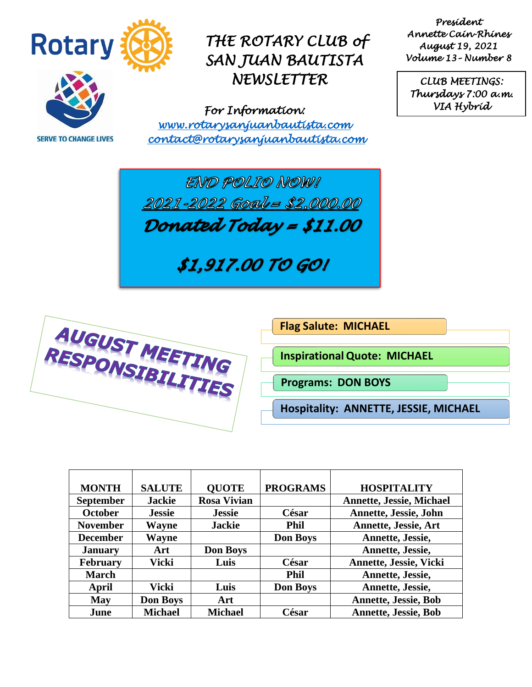

**SERVE TO CHANGE LIVES** 

## *THE ROTARY CLUB of SAN JUAN BAUTISTA NEWSLETTER*

*For Information: [www.rotarysanjuanbautista.com](http://www.rotarysanjuanbautista.com/)  contact@rotarysanjuanbautista.com* 

*President Annette Cain-Rhines August 19, 2021 Volume 13– Number 8* 

*CLUB MEETINGS: Thursdays 7:00 a.m. VIA Hybrid* 



## \$1,917.00 TO GOI



**Flag Salute: MICHAEL** 

**InspirationalQuote: MICHAEL**

**Programs: DON BOYS**

**Hospitality: ANNETTE, JESSIE, MICHAEL**

| <b>MONTH</b>     | <b>SALUTE</b>   | <b>QUOTE</b>       | <b>PROGRAMS</b> | <b>HOSPITALITY</b>              |
|------------------|-----------------|--------------------|-----------------|---------------------------------|
| <b>September</b> | <b>Jackie</b>   | <b>Rosa Vivian</b> |                 | <b>Annette, Jessie, Michael</b> |
| October          | <b>Jessie</b>   | <b>Jessie</b>      | César           | Annette, Jessie, John           |
| <b>November</b>  | Wayne           | <b>Jackie</b>      | <b>Phil</b>     | <b>Annette, Jessie, Art</b>     |
| <b>December</b>  | <b>Wayne</b>    |                    | <b>Don Boys</b> | Annette, Jessie,                |
| <b>January</b>   | Art             | <b>Don Boys</b>    |                 | Annette, Jessie,                |
| <b>February</b>  | Vicki           | Luis               | César           | <b>Annette, Jessie, Vicki</b>   |
| <b>March</b>     |                 |                    | <b>Phil</b>     | Annette, Jessie,                |
| April            | Vicki           | Luis               | <b>Don Boys</b> | Annette, Jessie,                |
| <b>May</b>       | <b>Don Boys</b> | Art                |                 | <b>Annette, Jessie, Bob</b>     |
| June             | <b>Michael</b>  | <b>Michael</b>     | César           | <b>Annette, Jessie, Bob</b>     |